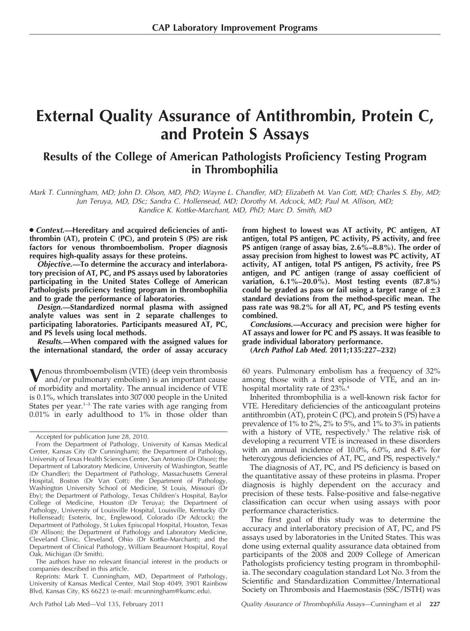# External Quality Assurance of Antithrombin, Protein C, and Protein S Assays

# Results of the College of American Pathologists Proficiency Testing Program in Thrombophilia

Mark T. Cunningham, MD; John D. Olson, MD, PhD; Wayne L. Chandler, MD; Elizabeth M. Van Cott, MD; Charles S. Eby, MD; Jun Teruya, MD, DSc; Sandra C. Hollensead, MD; Dorothy M. Adcock, MD; Paul M. Allison, MD; Kandice K. Kottke-Marchant, MD, PhD; Marc D. Smith, MD

• Context.—Hereditary and acquired deficiencies of antithrombin (AT), protein C (PC), and protein S (PS) are risk factors for venous thromboembolism. Proper diagnosis requires high-quality assays for these proteins.

Objective.—To determine the accuracy and interlaboratory precision of AT, PC, and PS assays used by laboratories participating in the United States College of American Pathologists proficiency testing program in thrombophilia and to grade the performance of laboratories.

Design.—Standardized normal plasma with assigned analyte values was sent in 2 separate challenges to participating laboratories. Participants measured AT, PC, and PS levels using local methods.

Results.—When compared with the assigned values for the international standard, the order of assay accuracy

 $\bf{V}$ enous thromboembolism (VTE) (deep vein thrombosis and/or pulmonary embolism) is an important cause of morbidity and mortality. The annual incidence of VTE is 0.1%, which translates into 307 000 people in the United States per year. $1-3$  The rate varies with age ranging from 0.01% in early adulthood to 1% in those older than

The authors have no relevant financial interest in the products or companies described in this article.

Reprints: Mark T. Cunningham, MD, Department of Pathology, University of Kansas Medical Center, Mail Stop 4049, 3901 Rainbow Blvd, Kansas City, KS 66223 (e-mail: mcunningham@kumc.edu).

from highest to lowest was AT activity, PC antigen, AT antigen, total PS antigen, PC activity, PS activity, and free PS antigen (range of assay bias, 2.6%–8.8%). The order of assay precision from highest to lowest was PC activity, AT activity, AT antigen, total PS antigen, PS activity, free PS antigen, and PC antigen (range of assay coefficient of variation, 6.1%–20.0%). Most testing events (87.8%) could be graded as pass or fail using a target range of  $\pm 3$ standard deviations from the method-specific mean. The pass rate was 98.2% for all AT, PC, and PS testing events combined.

Conclusions.—Accuracy and precision were higher for AT assays and lower for PC and PS assays. It was feasible to grade individual laboratory performance.

(Arch Pathol Lab Med. 2011;135:227–232)

60 years. Pulmonary embolism has a frequency of 32% among those with a first episode of VTE, and an inhospital mortality rate of 23%.4

Inherited thrombophilia is a well-known risk factor for VTE. Hereditary deficiencies of the anticoagulant proteins antithrombin (AT), protein C (PC), and protein S (PS) have a prevalence of 1% to 2%, 2% to 5%, and 1% to 3% in patients with a history of VTE, respectively.<sup>5</sup> The relative risk of developing a recurrent VTE is increased in these disorders with an annual incidence of 10.0%, 6.0%, and 8.4% for heterozygous deficiencies of AT, PC, and PS, respectively.<sup>6</sup>

The diagnosis of AT, PC, and PS deficiency is based on the quantitative assay of these proteins in plasma. Proper diagnosis is highly dependent on the accuracy and precision of these tests. False-positive and false-negative classification can occur when using assays with poor performance characteristics.

The first goal of this study was to determine the accuracy and interlaboratory precision of AT, PC, and PS assays used by laboratories in the United States. This was done using external quality assurance data obtained from participants of the 2008 and 2009 College of American Pathologists proficiency testing program in thrombophilia. The secondary coagulation standard Lot No. 3 from the Scientific and Standardization Committee/International Society on Thrombosis and Haemostasis (SSC/ISTH) was

Accepted for publication June 28, 2010.

From the Department of Pathology, University of Kansas Medical Center, Kansas City (Dr Cunningham); the Department of Pathology, University of Texas Health Sciences Center, San Antonio (Dr Olson); the Department of Laboratory Medicine, University of Washington, Seattle (Dr Chandler); the Department of Pathology, Massachusetts General Hospital, Boston (Dr Van Cott); the Department of Pathology, Washington University School of Medicine, St Louis, Missouri (Dr Eby); the Department of Pathology, Texas Children's Hospital, Baylor College of Medicine, Houston (Dr Teruya); the Department of Pathology, University of Louisville Hospital, Louisville, Kentucky (Dr Hollensead); Esoterix, Inc, Englewood, Colorado (Dr Adcock); the Department of Pathology, St Lukes Episcopal Hospital, Houston, Texas (Dr Allison); the Department of Pathology and Laboratory Medicine, Cleveland Clinic, Cleveland, Ohio (Dr Kottke-Marchant); and the Department of Clinical Pathology, William Beaumont Hospital, Royal Oak, Michigan (Dr Smith).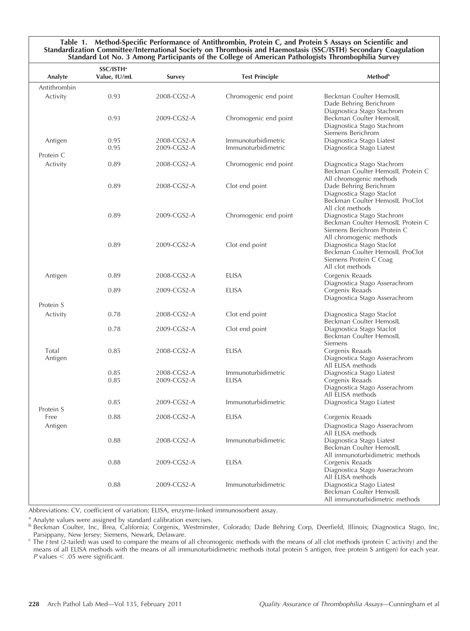| Analyte           | SSC/ISTH <sup>a</sup><br>Value, IU/mL | Survey                     | <b>Test Principle</b>        | <b>Method</b> <sup>b</sup>                                                                                                                       |
|-------------------|---------------------------------------|----------------------------|------------------------------|--------------------------------------------------------------------------------------------------------------------------------------------------|
| Antithrombin      |                                       |                            |                              |                                                                                                                                                  |
| Activity          | 0.93                                  | 2008-CGS2-A                | Chromogenic end point        | Beckman Coulter HemosIL<br>Dade Behring Berichrom<br>Diagnostica Stago Stachrom                                                                  |
|                   | 0.93                                  | 2009-CGS2-A                | Chromogenic end point        | Beckman Coulter HemosIL<br>Diagnostica Stago Stachrom<br>Siemens Berichrom                                                                       |
| Antigen           | 0.95                                  | 2008-CGS2-A                | Immunoturbidimetric          | Diagnostica Stago Liatest                                                                                                                        |
|                   | 0.95                                  | 2009-CGS2-A                | Immunoturbidimetric          | Diagnostica Stago Liatest                                                                                                                        |
| Protein C         |                                       |                            |                              |                                                                                                                                                  |
| Activity          | 0.89                                  | 2008-CGS2-A                | Chromogenic end point        | Diagnostica Stago Stachrom<br>Beckman Coulter HemosIL Protein C<br>All chromogenic methods                                                       |
|                   | 0.89                                  | 2008-CGS2-A                | Clot end point               | Dade Behring Berichrom<br>Diagnostica Stago Staclot<br>Beckman Coulter HemosIL ProClot                                                           |
|                   | 0.89                                  | 2009-CGS2-A                | Chromogenic end point        | All clot methods<br>Diagnostica Stago Stachrom<br>Beckman Coulter HemosIL Protein C                                                              |
|                   | 0.89                                  | 2009-CGS2-A                | Clot end point               | Siemens Berichrom Protein C<br>All chromogenic methods<br>Diagnostica Stago Staclot<br>Beckman Coulter HemosIL ProClot<br>Siemens Protein C Coag |
|                   |                                       |                            |                              | All clot methods                                                                                                                                 |
| Antigen           | 0.89                                  | 2008-CGS2-A                | <b>ELISA</b>                 | Corgenix Reaads<br>Diagnostica Stago Asserachrom                                                                                                 |
|                   | 0.89                                  | 2009-CGS2-A                | ELISA                        | Corgenix Reaads                                                                                                                                  |
|                   |                                       |                            |                              | Diagnostica Stago Asserachrom                                                                                                                    |
| Protein S         |                                       |                            |                              |                                                                                                                                                  |
| Activity          | 0.78                                  | 2008-CGS2-A                | Clot end point               | Diagnostica Stago Staclot<br>Beckman Coulter HemosIL                                                                                             |
|                   | 0.78                                  | 2009-CGS2-A                | Clot end point               | Diagnostica Stago Staclot<br>Beckman Coulter HemosIL                                                                                             |
| Total<br>Antigen  | 0.85                                  | 2008-CGS2-A                | ELISA                        | Siemens<br>Corgenix Reaads<br>Diagnostica Stago Asserachrom<br>All ELISA methods                                                                 |
|                   | 0.85<br>0.85                          | 2008-CGS2-A<br>2009-CGS2-A | Immunoturbidimetric<br>ELISA | Diagnostica Stago Liatest<br>Corgenix Reaads<br>Diagnostica Stago Asserachrom                                                                    |
|                   | 0.85                                  | 2009-CGS2-A                | Immunoturbidimetric          | All ELISA methods<br>Diagnostica Stago Liatest                                                                                                   |
| Protein S<br>Free | 0.88                                  | 2008-CGS2-A                | <b>ELISA</b>                 | Corgenix Reaads                                                                                                                                  |
| Antigen           |                                       |                            |                              | Diagnostica Stago Asserachrom<br>All ELISA methods                                                                                               |
|                   | 0.88                                  | 2008-CGS2-A                | Immunoturbidimetric          | Diagnostica Stago Liatest<br>Beckman Coulter HemosIL<br>All immunoturbidimetric methods                                                          |
|                   | 0.88                                  | 2009-CGS2-A                | ELISA                        | Corgenix Reaads<br>Diagnostica Stago Asserachrom                                                                                                 |
|                   | 0.88                                  | 2009-CGS2-A                | Immunoturbidimetric          | All ELISA methods<br>Diagnostica Stago Liatest<br>Beckman Coulter HemosIL<br>All immunoturbidimetric methods                                     |

Abbreviations: CV, coefficient of variation; ELISA, enzyme-linked immunosorbent assay.

<sup>&</sup>lt;sup>a</sup> Analyte values were assigned by standard calibration exercises.<br>
<sup>b</sup> Beckman Coulter, Inc, Brea, California; Corgenix, Westminster, Colorado; Dade Behring Corp, Deerfield, Illinois; Diagnostica Stago, Inc, Parsippany,

 $\epsilon$  The t test (2-tailed) was used to compare the means of all chromogenic methods with the means of all clot methods (protein C activity) and the means of all ELISA methods with the means of all immunoturbidimetric methods (total protein S antigen, free protein S antigen) for each year.  $P$  values  $< .05$  were significant.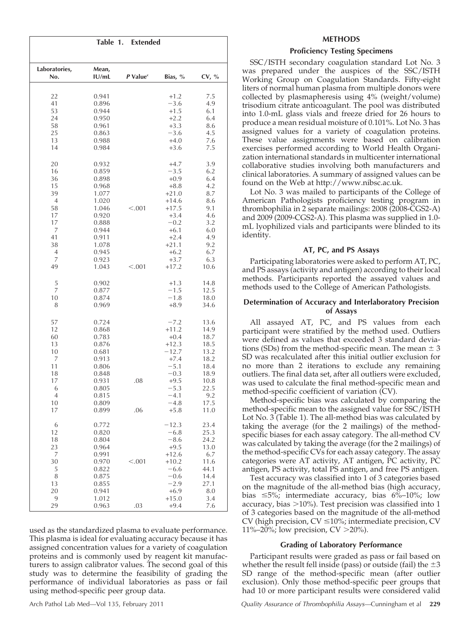|                |                | Table 1. Extended      |                  |            |
|----------------|----------------|------------------------|------------------|------------|
| Laboratories,  | Mean,          |                        |                  |            |
| No.            | IU/mL          | $P$ Value <sup>c</sup> | Bias, $%$        | CV, %      |
|                |                |                        |                  |            |
| 22             | 0.941          |                        | $+1.2$           | 7.5        |
| 41             | 0.896          |                        | $-3.6$           | 4.9        |
| 53             | 0.944          |                        | $+1.5$           | 6.1        |
| 24             | 0.950          |                        | $+2.2$           | 6.4        |
| 58<br>25       | 0.961<br>0.863 |                        | $+3.3$<br>$-3.6$ | 8.6<br>4.5 |
| 13             | 0.988          |                        | $+4.0$           | 7.6        |
| 14             | 0.984          |                        | $+3.6$           | 7.5        |
|                |                |                        |                  |            |
| 20             | 0.932          |                        | $+4.7$           | 3.9        |
| 16             | 0.859          |                        | $-3.5$           | 6.2        |
| 36             | 0.898          |                        | $+0.9$           | 6.4        |
| 15             | 0.968          |                        | $+8.8$           | 4.2        |
| 39             | 1.077          |                        | $+21.0$          | 8.7        |
| $\overline{4}$ | 1.020          |                        | $+14.6$          | 8.6        |
| 58             | 1.046          | < .001                 | $+17.5$          | 9.1        |
| 17             | 0.920          |                        | $+3.4$           | 4.6        |
| 17             | 0.888          |                        | $-0.2$           | 3.2        |
| 7              | 0.944          |                        | $+6.1$           | 6.0        |
| 41             | 0.911          |                        | $+2.4$           | 4.9        |
| 38             | 1.078          |                        | $+21.1$          | 9.2        |
| 4              | 0.945          |                        | $+6.2$           | 6.7        |
| 7              | 0.923          |                        | $+3.7$           | 6.3        |
| 49             | 1.043          | < .001                 | $+17.2$          | 10.6       |
| 5              | 0.902          |                        | $+1.3$           | 14.8       |
| 7              | 0.877          |                        | $-1.5$           | 12.5       |
| 10             | 0.874          |                        | $-1.8$           | 18.0       |
| 8              | 0.969          |                        | $+8.9$           | 34.6       |
|                |                |                        |                  |            |
| 57             | 0.724          |                        | $-7.2$           | 13.6       |
| 12             | 0.868          |                        | $+11.2$          | 14.9       |
| 60             | 0.783          |                        | $+0.4$           | 18.7       |
| 13             | 0.876          |                        | $+12.3$          | 18.5       |
| 10             | 0.681          |                        | $-12.7$          | 13.2       |
| 7              | 0.913          |                        | $+7.4$           | 18.2       |
| 11             | 0.806          |                        | $-5.1$           | 18.4       |
| 18             | 0.848          |                        | $-0.3$           | 18.9       |
| 17             | 0.931          | .08                    | $+9.5$           | 10.8       |
| 6              | 0.805          |                        | $-5.3$           | 22.5       |
| 4              | 0.815          |                        | $-4.1$           | 9.2        |
| 10             | 0.809          |                        | -4.8             | 17.5       |
| 17             | 0.899          | .06                    | $+5.8$           | 11.0       |
| 6              | 0.772          |                        | $-12.3$          | 23.4       |
| 12             | 0.820          |                        | $-6.8$           | 25.3       |
| 18             | 0.804          |                        | $-8.6$           | 24.2       |
| 23             | 0.964          |                        | $+9.5$           | 13.0       |
| 7              | 0.991          |                        | $+12.6$          | 6.7        |
| 30             | 0.970          | < 0.001                | $+10.2$          | 11.6       |
| 5              | 0.822          |                        | $-6.6$           | 44.1       |
| 8              | 0.875          |                        | $-0.6$           | 14.4       |
| 13             | 0.855          |                        | $-2.9$           | 27.1       |
| 20             | 0.941          |                        | $+6.9$           | 8.0        |
| 9              | 1.012          |                        | $+15.0$          | 3.4        |
| 29             | 0.963          | .03                    | $+9.4$           | 7.6        |

used as the standardized plasma to evaluate performance. This plasma is ideal for evaluating accuracy because it has assigned concentration values for a variety of coagulation proteins and is commonly used by reagent kit manufacturers to assign calibrator values. The second goal of this study was to determine the feasibility of grading the performance of individual laboratories as pass or fail using method-specific peer group data.

#### METHODS

#### Proficiency Testing Specimens

SSC/ISTH secondary coagulation standard Lot No. 3 was prepared under the auspices of the SSC/ISTH Working Group on Coagulation Standards. Fifty-eight liters of normal human plasma from multiple donors were collected by plasmapheresis using 4% (weight/volume) trisodium citrate anticoagulant. The pool was distributed into 1.0-mL glass vials and freeze dried for 26 hours to produce a mean residual moisture of 0.101%. Lot No. 3 has assigned values for a variety of coagulation proteins. These value assignments were based on calibration exercises performed according to World Health Organization international standards in multicenter international collaborative studies involving both manufacturers and clinical laboratories. A summary of assigned values can be found on the Web at http://www.nibsc.ac.uk.

Lot No. 3 was mailed to participants of the College of American Pathologists proficiency testing program in thrombophilia in 2 separate mailings: 2008 (2008-CGS2-A) and 2009 (2009-CGS2-A). This plasma was supplied in 1.0 mL lyophilized vials and participants were blinded to its identity.

#### AT, PC, and PS Assays

Participating laboratories were asked to perform AT, PC, and PS assays (activity and antigen) according to their local methods. Participants reported the assayed values and methods used to the College of American Pathologists.

#### Determination of Accuracy and Interlaboratory Precision of Assays

All assayed AT, PC, and PS values from each participant were stratified by the method used. Outliers were defined as values that exceeded 3 standard deviations (SDs) from the method-specific mean. The mean  $\pm$  3 SD was recalculated after this initial outlier exclusion for no more than 2 iterations to exclude any remaining outliers. The final data set, after all outliers were excluded, was used to calculate the final method-specific mean and method-specific coefficient of variation (CV).

Method-specific bias was calculated by comparing the method-specific mean to the assigned value for SSC/ISTH Lot No. 3 (Table 1). The all-method bias was calculated by taking the average (for the 2 mailings) of the methodspecific biases for each assay category. The all-method CV was calculated by taking the average (for the 2 mailings) of the method-specific CVs for each assay category. The assay categories were AT activity, AT antigen, PC activity, PC antigen, PS activity, total PS antigen, and free PS antigen.

Test accuracy was classified into 1 of 3 categories based on the magnitude of the all-method bias (high accuracy, bias  $\leq 5\%$ ; intermediate accuracy, bias 6%–10%; low accuracy, bias  $>10\%$ ). Test precision was classified into 1 of 3 categories based on the magnitude of the all-method CV (high precision,  $CV \leq 10\%$ ; intermediate precision, CV 11%–20%; low precision,  $CV > 20$ %).

#### Grading of Laboratory Performance

Participant results were graded as pass or fail based on whether the result fell inside (pass) or outside (fail) the  $\pm 3$ SD range of the method-specific mean (after outlier exclusion). Only those method-specific peer groups that had 10 or more participant results were considered valid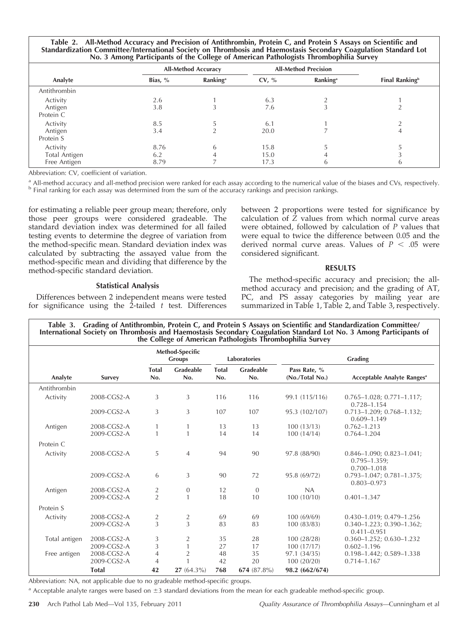| Table 2. All-Method Accuracy and Precision of Antithrombin, Protein C, and Protein S Assays on Scientific and    |
|------------------------------------------------------------------------------------------------------------------|
| Standardization Committee/International Society on Thrombosis and Haemostasis Secondary Coagulation Standard Lot |
| No. 3 Among Participants of the College of American Pathologists Thrombophilia Survey                            |

|               | <b>All-Method Accuracy</b> |                             | <b>All-Method Precision</b> |                      |                            |  |
|---------------|----------------------------|-----------------------------|-----------------------------|----------------------|----------------------------|--|
| Analyte       | Bias, $\%$                 | <b>Ranking</b> <sup>a</sup> | CV, %                       | Ranking <sup>a</sup> | Final Ranking <sup>b</sup> |  |
| Antithrombin  |                            |                             |                             |                      |                            |  |
| Activity      | 2.6                        |                             | 6.3                         |                      |                            |  |
| Antigen       | 3.8                        |                             | 7.6                         |                      |                            |  |
| Protein C     |                            |                             |                             |                      |                            |  |
| Activity      | 8.5                        |                             | 6.1                         |                      |                            |  |
| Antigen       | 3.4                        |                             | 20.0                        |                      | 4                          |  |
| Protein S     |                            |                             |                             |                      |                            |  |
| Activity      | 8.76                       | 6                           | 15.8                        |                      |                            |  |
| Total Antigen | 6.2                        |                             | 15.0                        |                      |                            |  |
| Free Antigen  | 8.79                       |                             | 17.3                        | 6                    | b                          |  |

Abbreviation: CV, coefficient of variation.

<sup>a</sup> All-method accuracy and all-method precision were ranked for each assay according to the numerical value of the biases and CVs, respectively.<br><sup>b</sup> Final ranking for each assay was determined from the sum of the accuracy

for estimating a reliable peer group mean; therefore, only those peer groups were considered gradeable. The standard deviation index was determined for all failed testing events to determine the degree of variation from the method-specific mean. Standard deviation index was calculated by subtracting the assayed value from the method-specific mean and dividing that difference by the method-specific standard deviation.

## Statistical Analysis

Differences between 2 independent means were tested for significance using the  $2$ -tailed  $t$  test. Differences between 2 proportions were tested for significance by calculation of Z values from which normal curve areas were obtained, followed by calculation of P values that were equal to twice the difference between 0.05 and the derived normal curve areas. Values of  $P < .05$  were considered significant.

## RESULTS

The method-specific accuracy and precision; the allmethod accuracy and precision; and the grading of AT, PC, and PS assay categories by mailing year are summarized in Table 1, Table 2, and Table 3, respectively.

|               | Survey       | Method-Specific<br><b>Groups</b> |                  | <b>Laboratories</b> |                         | Grading                         |                                                                         |
|---------------|--------------|----------------------------------|------------------|---------------------|-------------------------|---------------------------------|-------------------------------------------------------------------------|
| Analyte       |              | <b>Total</b><br>No.              | Gradeable<br>No. | <b>Total</b><br>No. | <b>Gradeable</b><br>No. | Pass Rate, %<br>(No./Total No.) | Acceptable Analyte Ranges <sup>a</sup>                                  |
| Antithrombin  |              |                                  |                  |                     |                         |                                 |                                                                         |
| Activity      | 2008-CGS2-A  | 3                                | 3                | 116                 | 116                     | 99.1 (115/116)                  | $0.765 - 1.028$ ; $0.771 - 1.117$ ;<br>$0.728 - 1.154$                  |
|               | 2009-CGS2-A  | 3                                | 3                | 107                 | 107                     | 95.3 (102/107)                  | $0.713 - 1.209; 0.768 - 1.132;$<br>$0.609 - 1.149$                      |
| Antigen       | 2008-CGS2-A  |                                  |                  | 13                  | 13                      | 100(13/13)                      | $0.762 - 1.213$                                                         |
|               | 2009-CGS2-A  |                                  | $\mathbf{1}$     | 14                  | 14                      | 100(14/14)                      | $0.764 - 1.204$                                                         |
| Protein C     |              |                                  |                  |                     |                         |                                 |                                                                         |
| Activity      | 2008-CGS2-A  | 5                                | $\overline{4}$   | 94                  | 90                      | 97.8 (88/90)                    | $0.846 - 1.090; 0.823 - 1.041;$<br>$0.795 - 1.359$ ;<br>$0.700 - 1.018$ |
|               | 2009-CGS2-A  | 6                                | 3                | 90                  | 72                      | 95.8 (69/72)                    | 0.793-1.047; 0.781-1.375;<br>$0.803 - 0.973$                            |
| Antigen       | 2008-CGS2-A  | $\overline{c}$                   | $\mathbf{0}$     | 12                  | $\theta$                | NA                              |                                                                         |
|               | 2009-CGS2-A  | $\overline{2}$                   |                  | 18                  | 10                      | 100 (10/10)                     | $0.401 - 1.347$                                                         |
| Protein S     |              |                                  |                  |                     |                         |                                 |                                                                         |
| Activity      | 2008-CGS2-A  | $\overline{c}$                   | $\overline{2}$   | 69                  | 69                      | 100 (69/69)                     | 0.430-1.019; 0.479-1.256                                                |
|               | 2009-CGS2-A  | 3                                | 3                | 83                  | 83                      | 100(83/83)                      | $0.340 - 1.223$ ; $0.390 - 1.362$ ;<br>$0.411 - 0.951$                  |
| Total antigen | 2008-CGS2-A  | 3                                | 2                | 35                  | 28                      | 100 (28/28)                     | $0.360 - 1.252$ ; $0.630 - 1.232$                                       |
|               | 2009-CGS2-A  | 3                                |                  | 27                  | 17                      | 100(17/17)                      | $0.602 - 1.196$                                                         |
| Free antigen  | 2008-CGS2-A  | 4                                | 2                | 48                  | 35                      | 97.1 (34/35)                    | $0.198 - 1.442$ ; $0.589 - 1.338$                                       |
|               | 2009-CGS2-A  | $\overline{4}$                   |                  | 42                  | 20                      | 100 (20/20)                     | $0.714 - 1.167$                                                         |
|               | <b>Total</b> | 42                               | $27(64.3\%)$     | 768                 | 674 (87.8%)             | 98.2 (662/674)                  |                                                                         |

Abbreviation: NA, not applicable due to no gradeable method-specific groups.

<sup>a</sup> Acceptable analyte ranges were based on  $\pm 3$  standard deviations from the mean for each gradeable method-specific group.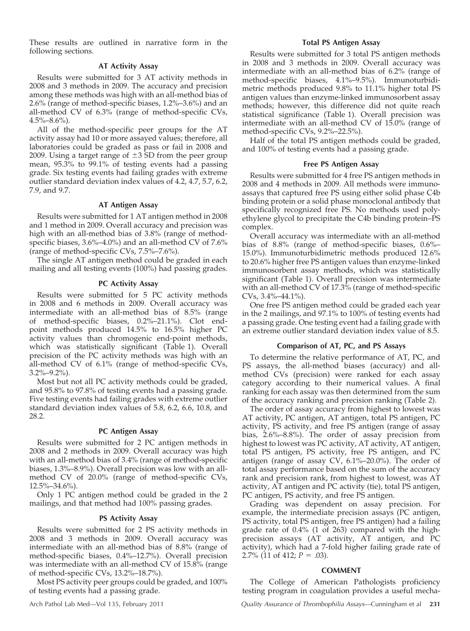These results are outlined in narrative form in the following sections.

#### AT Activity Assay

Results were submitted for 3 AT activity methods in 2008 and 3 methods in 2009. The accuracy and precision among these methods was high with an all-method bias of 2.6% (range of method-specific biases, 1.2%–3.6%) and an all-method CV of 6.3% (range of method-specific CVs,  $4.5\% - 8.6\%$ ).

All of the method-specific peer groups for the AT activity assay had 10 or more assayed values; therefore, all laboratories could be graded as pass or fail in 2008 and 2009. Using a target range of  $\pm 3$  SD from the peer group mean, 95.3% to 99.1% of testing events had a passing grade. Six testing events had failing grades with extreme outlier standard deviation index values of 4.2, 4.7, 5.7, 6.2, 7.9, and 9.7.

#### AT Antigen Assay

Results were submitted for 1 AT antigen method in 2008 and 1 method in 2009. Overall accuracy and precision was high with an all-method bias of 3.8% (range of methodspecific biases, 3.6%–4.0%) and an all-method CV of 7.6% (range of method-specific CVs, 7.5%–7.6%).

The single AT antigen method could be graded in each mailing and all testing events (100%) had passing grades.

#### PC Activity Assay

Results were submitted for 5 PC activity methods in 2008 and 6 methods in 2009. Overall accuracy was intermediate with an all-method bias of 8.5% (range of method-specific biases, 0.2%–21.1%). Clot endpoint methods produced 14.5% to 16.5% higher PC activity values than chromogenic end-point methods, which was statistically significant (Table 1). Overall precision of the PC activity methods was high with an all-method CV of 6.1% (range of method-specific CVs,  $3.2\% - 9.2\%$ ).

Most but not all PC activity methods could be graded, and 95.8% to 97.8% of testing events had a passing grade. Five testing events had failing grades with extreme outlier standard deviation index values of 5.8, 6.2, 6.6, 10.8, and 28.2.

#### PC Antigen Assay

Results were submitted for 2 PC antigen methods in 2008 and 2 methods in 2009. Overall accuracy was high with an all-method bias of 3.4% (range of method-specific biases, 1.3%–8.9%). Overall precision was low with an allmethod CV of 20.0% (range of method-specific CVs, 12.5%–34.6%).

Only 1 PC antigen method could be graded in the 2 mailings, and that method had 100% passing grades.

#### PS Activity Assay

Results were submitted for 2 PS activity methods in 2008 and 3 methods in 2009. Overall accuracy was intermediate with an all-method bias of 8.8% (range of method-specific biases, 0.4%–12.7%). Overall precision was intermediate with an all-method CV of 15.8% (range of method-specific CVs, 13.2%–18.7%).

Most PS activity peer groups could be graded, and 100% of testing events had a passing grade.

#### Total PS Antigen Assay

Results were submitted for 3 total PS antigen methods in 2008 and 3 methods in 2009. Overall accuracy was intermediate with an all-method bias of 6.2% (range of method-specific biases, 4.1%–9.5%). Immunoturbidimetric methods produced 9.8% to 11.1% higher total PS antigen values than enzyme-linked immunosorbent assay methods; however, this difference did not quite reach statistical significance (Table 1). Overall precision was intermediate with an all-method CV of 15.0% (range of method-specific CVs, 9.2%–22.5%).

Half of the total PS antigen methods could be graded, and 100% of testing events had a passing grade.

#### Free PS Antigen Assay

Results were submitted for 4 free PS antigen methods in 2008 and 4 methods in 2009. All methods were immunoassays that captured free PS using either solid phase C4b binding protein or a solid phase monoclonal antibody that specifically recognized free PS. No methods used polyethylene glycol to precipitate the C4b binding protein–PS complex.

Overall accuracy was intermediate with an all-method bias of 8.8% (range of method-specific biases, 0.6%– 15.0%). Immunoturbidimetric methods produced 12.6% to 20.6% higher free PS antigen values than enzyme-linked immunosorbent assay methods, which was statistically significant (Table 1). Overall precision was intermediate with an all-method CV of 17.3% (range of method-specific CVs, 3.4%–44.1%).

One free PS antigen method could be graded each year in the 2 mailings, and 97.1% to 100% of testing events had a passing grade. One testing event had a failing grade with an extreme outlier standard deviation index value of 8.5.

#### Comparison of AT, PC, and PS Assays

To determine the relative performance of AT, PC, and PS assays, the all-method biases (accuracy) and allmethod CVs (precision) were ranked for each assay category according to their numerical values. A final ranking for each assay was then determined from the sum of the accuracy ranking and precision ranking (Table 2).

The order of assay accuracy from highest to lowest was AT activity, PC antigen, AT antigen, total PS antigen, PC activity, PS activity, and free PS antigen (range of assay bias, 2.6%–8.8%). The order of assay precision from highest to lowest was PC activity, AT activity, AT antigen, total PS antigen, PS activity, free PS antigen, and PC antigen (range of assay CV, 6.1%–20.0%). The order of total assay performance based on the sum of the accuracy rank and precision rank, from highest to lowest, was AT activity, AT antigen and PC activity (tie), total PS antigen, PC antigen, PS activity, and free PS antigen.

Grading was dependent on assay precision. For example, the intermediate precision assays (PC antigen, PS activity, total PS antigen, free PS antigen) had a failing grade rate of 0.4% (1 of 263) compared with the highprecision assays (AT activity, AT antigen, and PC activity), which had a 7-fold higher failing grade rate of 2.7% (11 of 412;  $P = .03$ ).

#### COMMENT

The College of American Pathologists proficiency testing program in coagulation provides a useful mecha-

Arch Pathol Lab Med—Vol 135, February 2011 Quality Assurance of Thrombophilia Assays—Cunningham et al 231